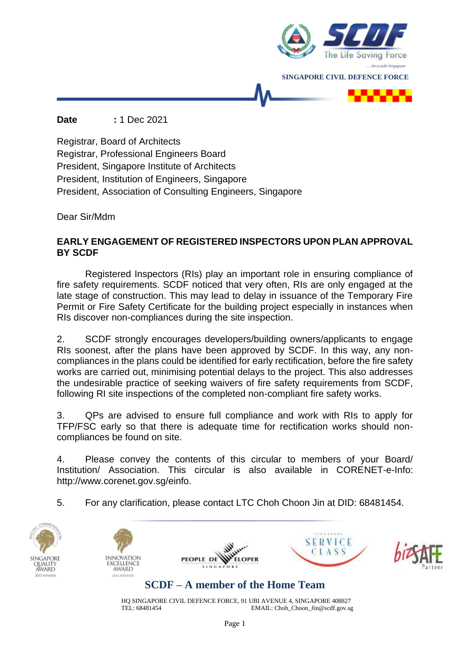

**Date :** 1 Dec 2021

Registrar, Board of Architects Registrar, Professional Engineers Board President, Singapore Institute of Architects President, Institution of Engineers, Singapore President, Association of Consulting Engineers, Singapore

Dear Sir/Mdm

## **EARLY ENGAGEMENT OF REGISTERED INSPECTORS UPON PLAN APPROVAL BY SCDF**

Registered Inspectors (RIs) play an important role in ensuring compliance of fire safety requirements. SCDF noticed that very often, RIs are only engaged at the late stage of construction. This may lead to delay in issuance of the Temporary Fire Permit or Fire Safety Certificate for the building project especially in instances when RIs discover non-compliances during the site inspection.

2. SCDF strongly encourages developers/building owners/applicants to engage RIs soonest, after the plans have been approved by SCDF. In this way, any noncompliances in the plans could be identified for early rectification, before the fire safety works are carried out, minimising potential delays to the project. This also addresses the undesirable practice of seeking waivers of fire safety requirements from SCDF, following RI site inspections of the completed non-compliant fire safety works.

3. QPs are advised to ensure full compliance and work with RIs to apply for TFP/FSC early so that there is adequate time for rectification works should noncompliances be found on site.

4. Please convey the contents of this circular to members of your Board/ Institution/ Association. This circular is also available in CORENET-e-Info: http://www.corenet.gov.sg/einfo.

5. For any clarification, please contact LTC Choh Choon Jin at DID: 68481454.



HQ SINGAPORE CIVIL DEFENCE FORCE, 91 UBI AVENUE 4, SINGAPORE 408827<br>EMAIL: Choh Choon Jin@scdf.gov.sg EMAIL: Choh\_Choon\_Jin@scdf.gov.sg